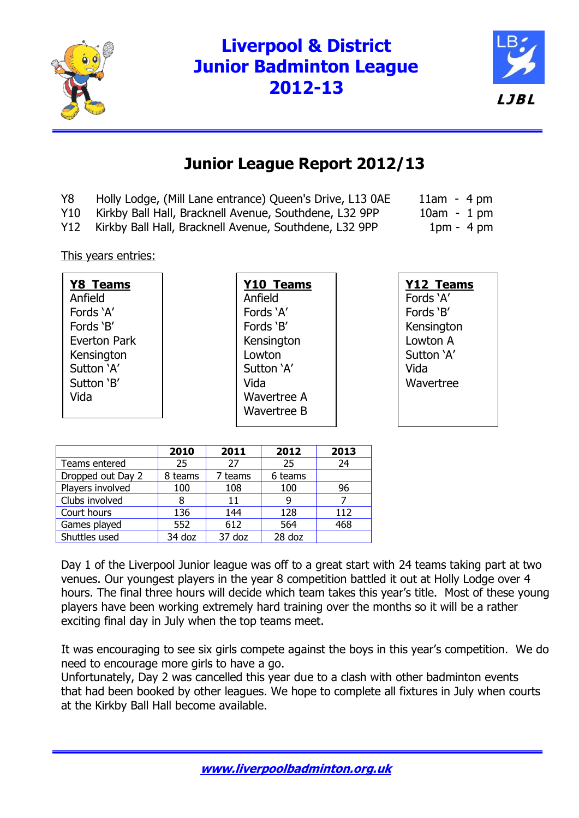

# **Liverpool & District Junior Badminton League 2012-13**



## **Junior League Report 2012/13**

- Y8 Holly Lodge, (Mill Lane entrance) Queen's Drive, L13 0AE 11am 4 pm
- Y10 Kirkby Ball Hall, Bracknell Avenue, Southdene, L32 9PP 10am 1 pm
- Y12 Kirkby Ball Hall, Bracknell Avenue, Southdene, L32 9PP 1pm 4 pm

This years entries:

| <b>Y8 Teams</b> | <b>Y10 Teams</b>   | Y12 Teams  |
|-----------------|--------------------|------------|
| Anfield         | Anfield            | Fords 'A'  |
| Fords 'A'       | Fords 'A'          | Fords 'B'  |
| Fords 'B'       | Fords 'B'          | Kensington |
| Everton Park    | Kensington         | Lowton A   |
| Kensington      | Lowton             | Sutton 'A' |
| Sutton 'A'      | Sutton 'A'         | Vida       |
| Sutton 'B'      | Vida               | Wavertree  |
| Vida            | Wavertree A        |            |
|                 | <b>Wavertree B</b> |            |

|                   | 2010    | 2011    | 2012    | 2013 |
|-------------------|---------|---------|---------|------|
| Teams entered     | 25      | 27      | 25      | 24   |
| Dropped out Day 2 | 8 teams | 7 teams | 6 teams |      |
| Players involved  | 100     | 108     | 100     | 96   |
| Clubs involved    | 8       | 11      |         |      |
| Court hours       | 136     | 144     | 128     | 112  |
| Games played      | 552     | 612     | 564     | 468  |
| Shuttles used     | 34 doz  | 37 doz  | 28 doz  |      |

Day 1 of the Liverpool Junior league was off to a great start with 24 teams taking part at two venues. Our youngest players in the year 8 competition battled it out at Holly Lodge over 4 hours. The final three hours will decide which team takes this year's title. Most of these young players have been working extremely hard training over the months so it will be a rather exciting final day in July when the top teams meet.

It was encouraging to see six girls compete against the boys in this year's competition. We do need to encourage more girls to have a go.

Unfortunately, Day 2 was cancelled this year due to a clash with other badminton events that had been booked by other leagues. We hope to complete all fixtures in July when courts at the Kirkby Ball Hall become available.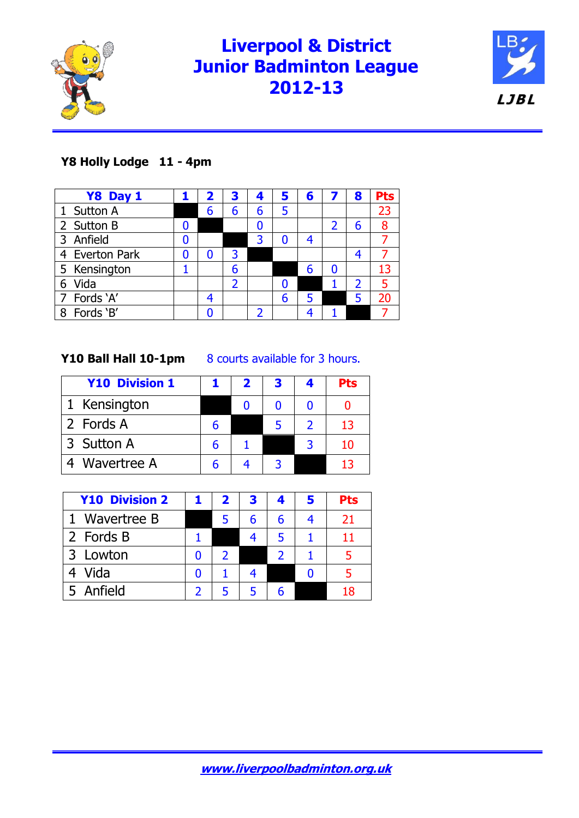

# **Liverpool & District Junior Badminton League 2012-13**



## **Y8 Holly Lodge 11 - 4pm**

| Y8 Day 1       |   | 2 | З | 4 | 5 | 6 |   | 8              | <b>Pts</b> |
|----------------|---|---|---|---|---|---|---|----------------|------------|
| 1 Sutton A     |   | 6 | 6 | 6 | 5 |   |   |                | 23         |
| 2 Sutton B     |   |   |   | 0 |   |   | 2 | 6              | 8          |
| Anfield<br>3   | N |   |   | 3 |   |   |   |                |            |
| 4 Everton Park | 0 | n | 3 |   |   |   |   | 4              |            |
| 5 Kensington   |   |   | 6 |   |   |   | O |                |            |
| Vida<br>6      |   |   |   |   |   |   |   | $\overline{2}$ |            |
| 7 Fords 'A'    |   |   |   |   | 6 |   |   | 5              |            |
| Fords 'B'<br>8 |   |   |   |   |   |   |   |                |            |

**Y10 Ball Hall 10-1pm** 8 courts available for 3 hours.

| <b>Y10 Division 1</b> |   | 2 | З | Pts |
|-----------------------|---|---|---|-----|
| 1 Kensington          |   |   |   |     |
| 2 Fords A             |   |   |   | 13  |
| 3 Sutton A            | h |   |   | 10  |
| 4 Wavertree A         |   |   |   | 13  |

| <b>Y10 Division 2</b> | $\mathbf{z}$ | 3 | 5 | Pts |
|-----------------------|--------------|---|---|-----|
| 1 Wavertree B         |              | 6 |   | 21  |
| 2 Fords B             |              | 4 |   | 11  |
| 3 Lowton              |              |   |   |     |
| Vida                  |              |   |   |     |
| 5 Anfield             |              |   |   |     |